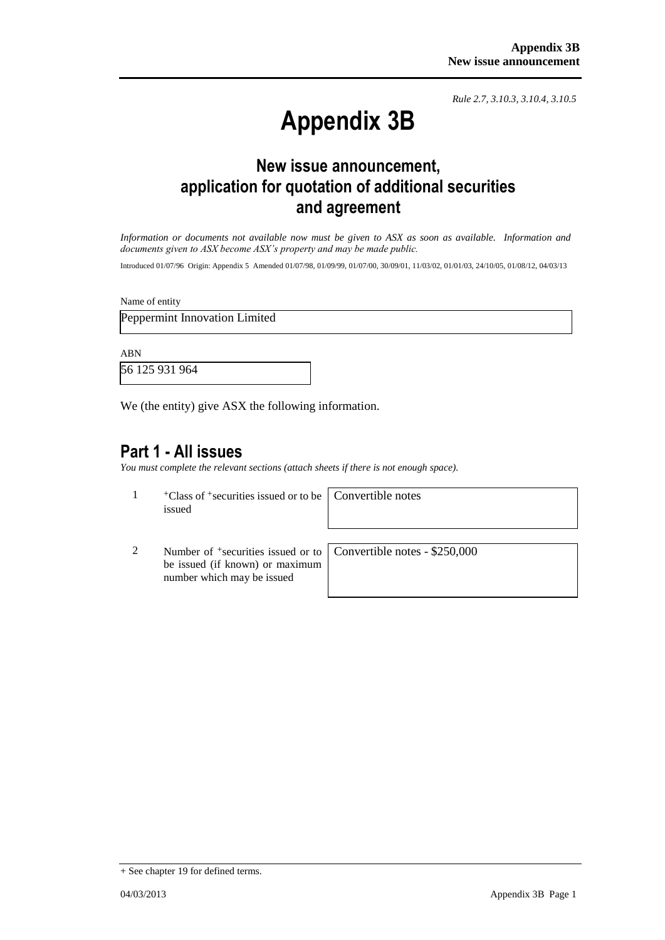*Rule 2.7, 3.10.3, 3.10.4, 3.10.5*

## **Appendix 3B**

## **New issue announcement, application for quotation of additional securities and agreement**

*Information or documents not available now must be given to ASX as soon as available. Information and documents given to ASX become ASX's property and may be made public.*

Introduced 01/07/96 Origin: Appendix 5 Amended 01/07/98, 01/09/99, 01/07/00, 30/09/01, 11/03/02, 01/01/03, 24/10/05, 01/08/12, 04/03/13

Name of entity

Peppermint Innovation Limited

ABN

56 125 931 964

We (the entity) give ASX the following information.

## **Part 1 - All issues**

*You must complete the relevant sections (attach sheets if there is not enough space).*

 $1 +$ Class of  $+$ securities issued or to be issued

Convertible notes

2 Number of <sup>+</sup>securities issued or to be issued (if known) or maximum number which may be issued

Convertible notes - \$250,000

<sup>+</sup> See chapter 19 for defined terms.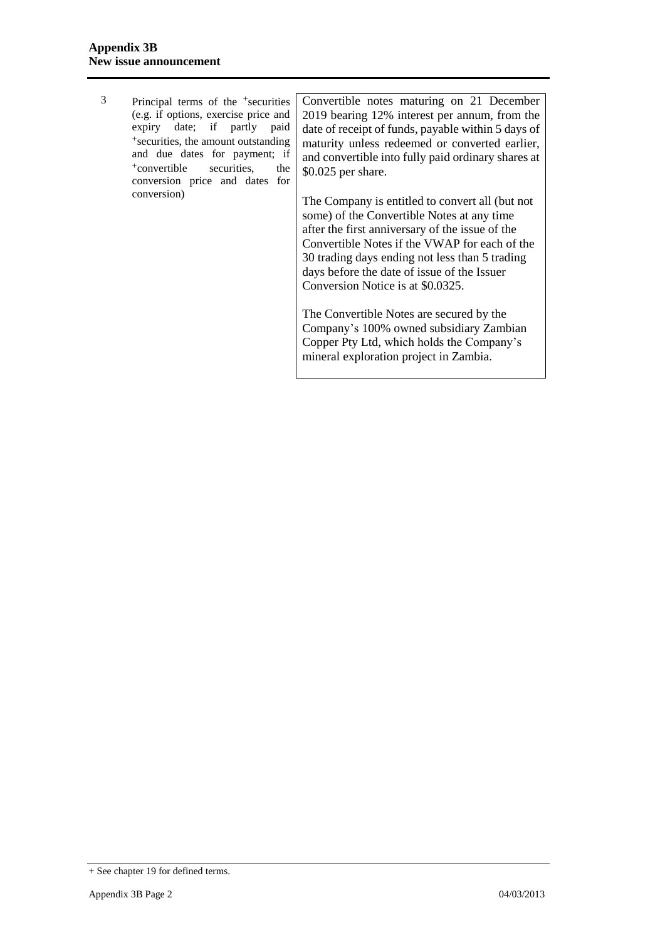|                                                 | Principal terms of the <sup>+</sup> securities   Convertible notes maturing on 21 December                 |
|-------------------------------------------------|------------------------------------------------------------------------------------------------------------|
| (e.g. if options, exercise price and            | 2019 bearing 12% interest per annum, from the                                                              |
| expiry date; if partly paid                     | date of receipt of funds, payable within 5 days of                                                         |
| <sup>+</sup> securities, the amount outstanding | maturity unless redeemed or converted earlier,                                                             |
| and due dates for payment; if                   | and convertible into fully paid ordinary shares at                                                         |
| <sup>+</sup> convertible<br>securities.<br>the  | $$0.025$ per share.                                                                                        |
| conversion price and dates for                  |                                                                                                            |
| conversion)                                     | The Company is entitled to convert all (but not<br>$\sim$ $\sim$ $\sim$ $\sim$ $\sim$ $\sim$ $\sim$ $\sim$ |

some) of the Convertible Notes at any time after the first anniversary of the issue of the Convertible Notes if the VWAP for each of the 30 trading days ending not less than 5 trading days before the date of issue of the Issuer Conversion Notice is at \$0.0325.

The Convertible Notes are secured by the Company's 100% owned subsidiary Zambian Copper Pty Ltd, which holds the Company's mineral exploration project in Zambia.

<sup>+</sup> See chapter 19 for defined terms.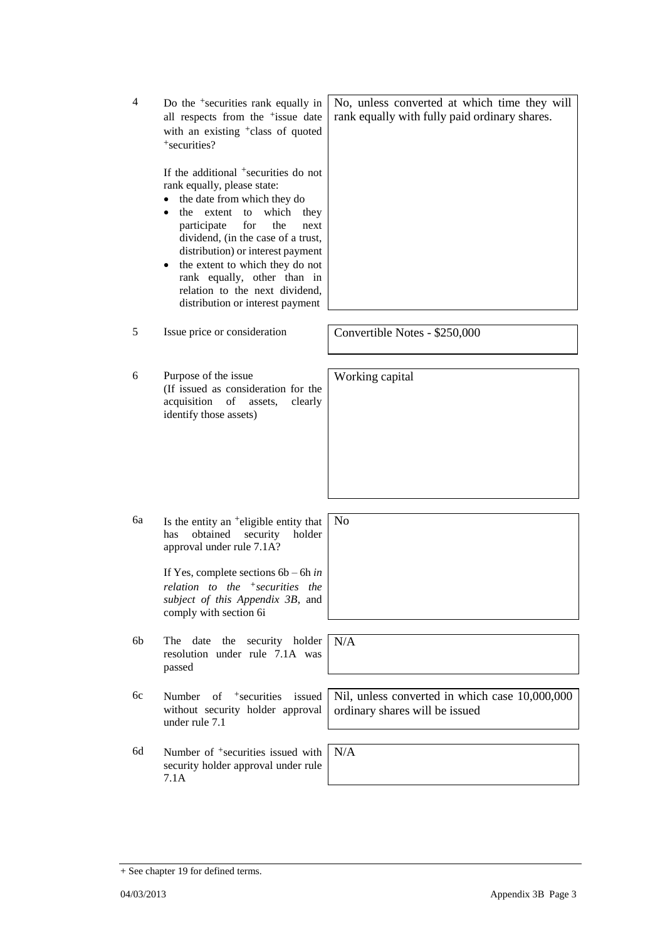7.1A

4 Do the +securities rank equally in all respects from the <sup>+</sup>issue date with an existing <sup>+</sup>class of quoted +securities?

> If the additional <sup>+</sup>securities do not rank equally, please state:

- the date from which they do
- the extent to which they participate for the next dividend, (in the case of a trust, distribution) or interest payment
- the extent to which they do not rank equally, other than in relation to the next dividend, distribution or interest payment
- 5 Issue price or consideration Convertible Notes \$250,000

6 Purpose of the issue (If issued as consideration for the acquisition of assets, clearly identify those assets)

6a Is the entity an  $+$ eligible entity that has obtained security holder

approval under rule 7.1A?

If Yes, complete sections 6b – 6h *in relation to the +securities the subject of this Appendix 3B*, and comply with section 6i

- 6b The date the security holder resolution under rule 7.1A was passed
- 6c Number of +securities issued without security holder approval under rule 7.1

6d Number of <sup>+</sup>securities issued with security holder approval under rule

Nil, unless converted in which case 10,000,000 ordinary shares will be issued

N/A

No, unless converted at which time they will rank equally with fully paid ordinary shares.

Working capital

N/A

No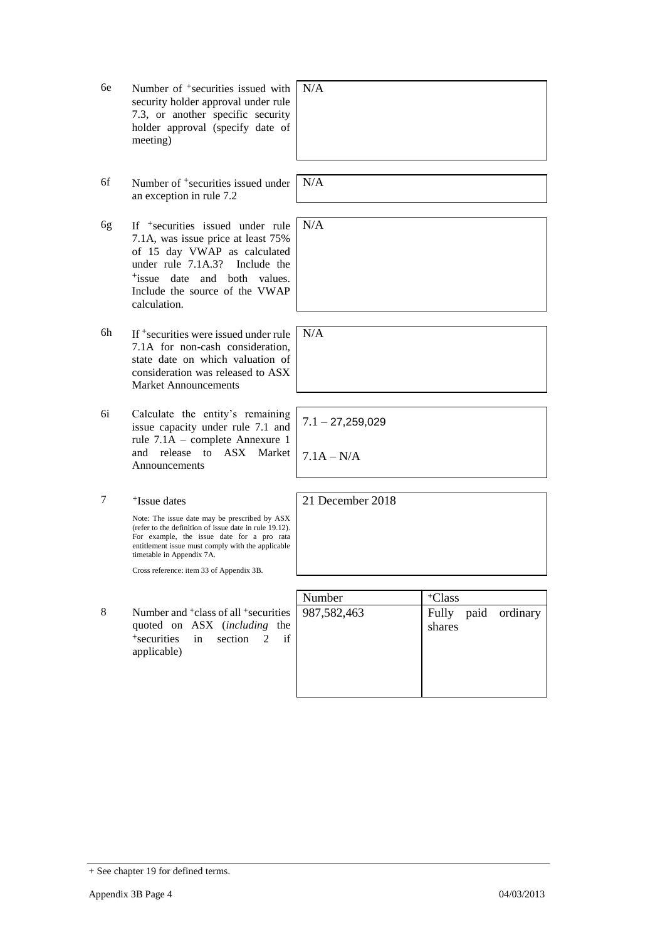- 6e Number of +securities issued with security holder approval under rule 7.3, or another specific security holder approval (specify date of meeting)
- 6f Number of +securities issued under an exception in rule 7.2
- 6g If +securities issued under rule 7.1A, was issue price at least 75% of 15 day VWAP as calculated under rule 7.1A.3? Include the +issue date and both values. Include the source of the VWAP calculation.
- 6h If +securities were issued under rule 7.1A for non-cash consideration, state date on which valuation of consideration was released to ASX Market Announcements N/A
- 6i Calculate the entity's remaining issue capacity under rule 7.1 and rule 7.1A – complete Annexure 1 and release to ASX Market Announcements
- 7 +Issue dates

Note: The issue date may be prescribed by ASX (refer to the definition of issue date in rule 19.12). For example, the issue date for a pro rata entitlement issue must comply with the applicable timetable in Appendix 7A.

Cross reference: item 33 of Appendix 3B.

8 Number and <sup>+</sup>class of all <sup>+</sup>securities quoted on ASX (*including* the <sup>+</sup>securities in section 2 if applicable)

N/A

N/A

N/A

 $7.1 - 27,259,029$ 

7.1A – N/A

21 December 2018

| Number      | <sup>+</sup> Class            |
|-------------|-------------------------------|
| 987,582,463 | Fully paid ordinary<br>shares |

<sup>+</sup> See chapter 19 for defined terms.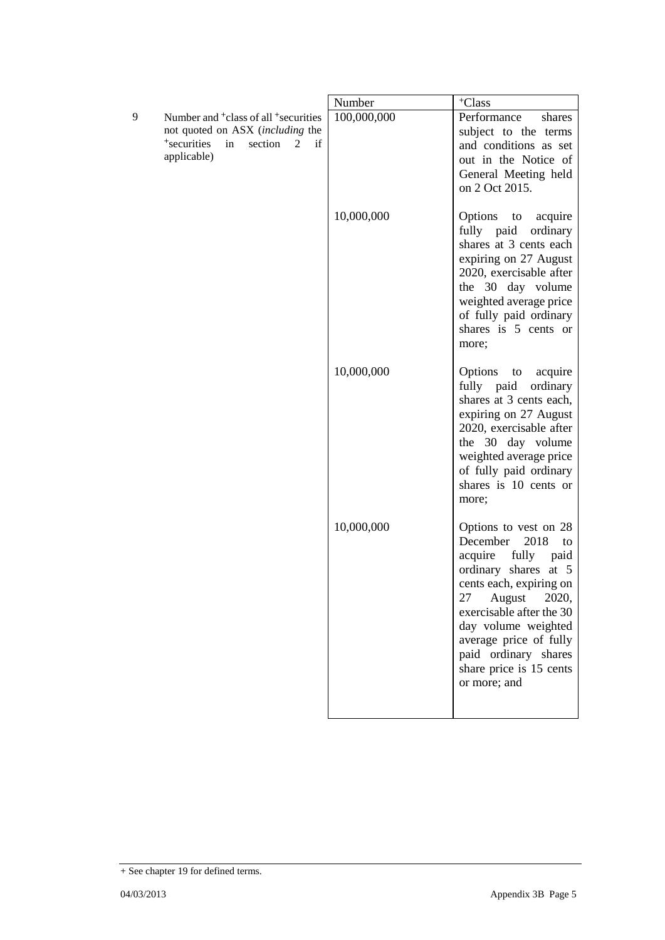|                                             |                                                                                                                              | Number      | <sup>+</sup> Class                                                                                                                                                                                                                                                                                      |
|---------------------------------------------|------------------------------------------------------------------------------------------------------------------------------|-------------|---------------------------------------------------------------------------------------------------------------------------------------------------------------------------------------------------------------------------------------------------------------------------------------------------------|
| 9<br><sup>+</sup> securities<br>applicable) | Number and <sup>+</sup> class of all <sup>+</sup> securities<br>not quoted on ASX (including the<br>section<br>2<br>if<br>in | 100,000,000 | Performance<br>shares<br>subject to the terms<br>and conditions as set<br>out in the Notice of<br>General Meeting held<br>on 2 Oct 2015.                                                                                                                                                                |
|                                             |                                                                                                                              | 10,000,000  | Options to acquire<br>fully paid<br>ordinary<br>shares at 3 cents each<br>expiring on 27 August<br>2020, exercisable after<br>the 30 day volume<br>weighted average price<br>of fully paid ordinary<br>shares is 5 cents or<br>more;                                                                    |
|                                             |                                                                                                                              | 10,000,000  | Options<br>acquire<br>to<br>fully paid<br>ordinary<br>shares at 3 cents each,<br>expiring on 27 August<br>2020, exercisable after<br>the 30 day volume<br>weighted average price<br>of fully paid ordinary<br>shares is 10 cents or<br>more;                                                            |
|                                             |                                                                                                                              | 10,000,000  | Options to vest on 28<br>December<br>2018<br>to<br>acquire<br>fully<br>paid<br>ordinary shares at 5<br>cents each, expiring on<br>27<br>August<br>2020,<br>exercisable after the 30<br>day volume weighted<br>average price of fully<br>paid ordinary shares<br>share price is 15 cents<br>or more; and |

<sup>+</sup> See chapter 19 for defined terms.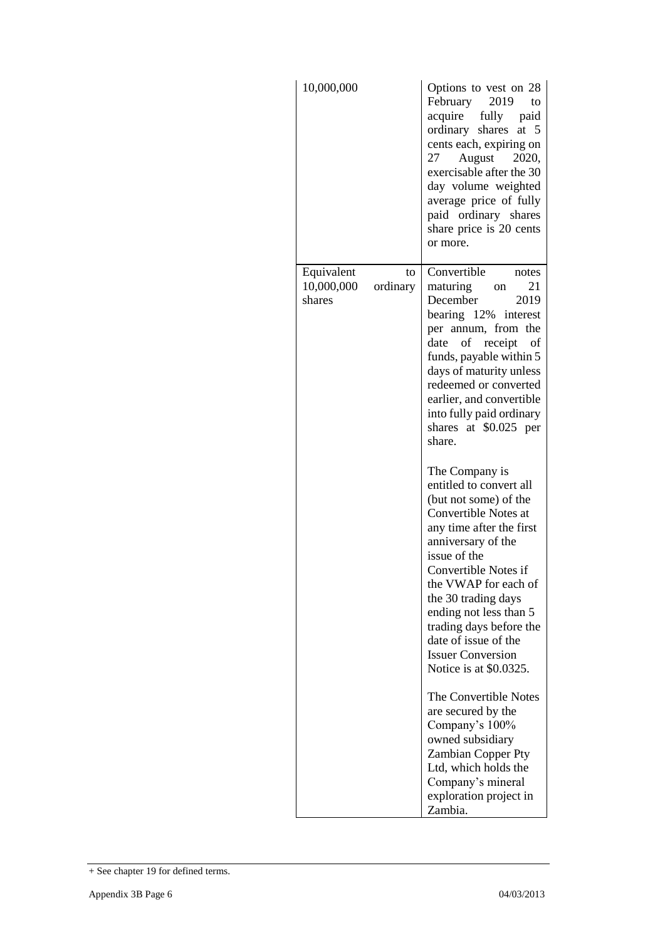| 10,000,000                                           | Options to vest on 28<br>February 2019<br>to<br>acquire fully paid<br>ordinary shares<br>at $5$<br>cents each, expiring on<br>August 2020,<br>27<br>exercisable after the 30<br>day volume weighted<br>average price of fully<br>paid ordinary shares<br>share price is 20 cents<br>or more.                                                                           |
|------------------------------------------------------|------------------------------------------------------------------------------------------------------------------------------------------------------------------------------------------------------------------------------------------------------------------------------------------------------------------------------------------------------------------------|
| Equivalent<br>to<br>10,000,000<br>ordinary<br>shares | Convertible<br>notes<br>21<br>maturing<br>on<br>December<br>2019<br>bearing 12% interest<br>per annum, from the<br>of<br>receipt<br>date<br>οf<br>funds, payable within 5<br>days of maturity unless<br>redeemed or converted<br>earlier, and convertible<br>into fully paid ordinary<br>shares at \$0.025 per<br>share.                                               |
|                                                      | The Company is<br>entitled to convert all<br>(but not some) of the<br>Convertible Notes at<br>any time after the first<br>anniversary of the<br>issue of the<br>Convertible Notes if<br>the VWAP for each of<br>the 30 trading days<br>ending not less than 5<br>trading days before the<br>date of issue of the<br><b>Issuer Conversion</b><br>Notice is at \$0.0325. |
|                                                      | The Convertible Notes<br>are secured by the<br>Company's 100%<br>owned subsidiary<br>Zambian Copper Pty<br>Ltd, which holds the<br>Company's mineral<br>exploration project in<br>Zambia.                                                                                                                                                                              |

<sup>+</sup> See chapter 19 for defined terms.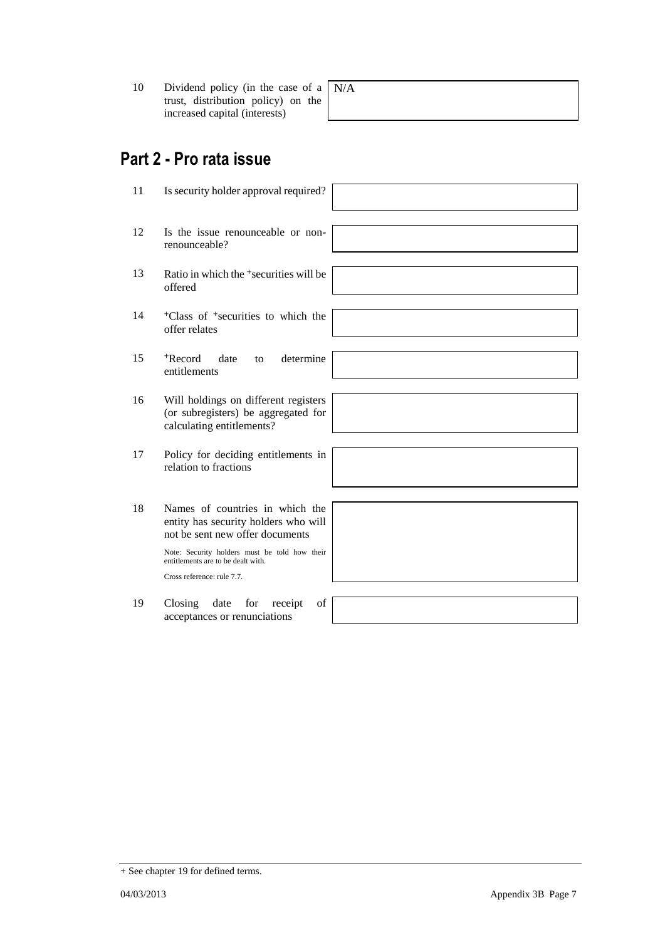10 Dividend policy (in the case of a trust, distribution policy) on the increased capital (interests) N/A

## **Part 2 - Pro rata issue**

11 Is security holder approval required? 12 Is the issue renounceable or nonrenounceable? 13 Ratio in which the <sup>+</sup>securities will be offered 14 <sup>+</sup>Class of <sup>+</sup>securities to which the offer relates 15 <sup>+</sup>Record date to determine entitlements 16 Will holdings on different registers (or subregisters) be aggregated for calculating entitlements? 17 Policy for deciding entitlements in relation to fractions 18 Names of countries in which the entity has security holders who will not be sent new offer documents Note: Security holders must be told how their entitlements are to be dealt with. Cross reference: rule 7.7. 19 Closing date for receipt of acceptances or renunciations

+ See chapter 19 for defined terms.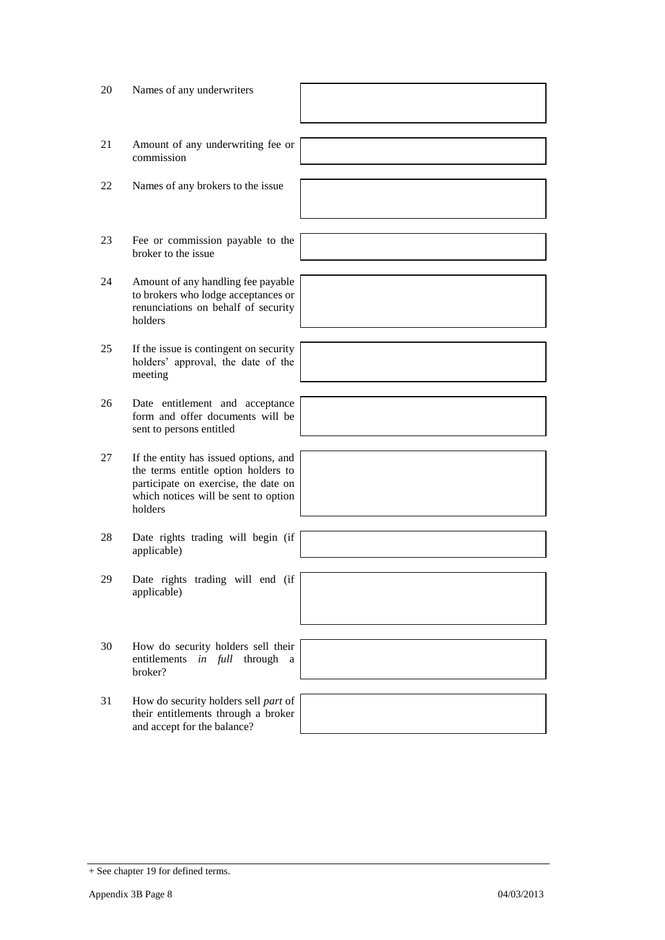| 20 | Names of any underwriters                                                                                                                                               |  |
|----|-------------------------------------------------------------------------------------------------------------------------------------------------------------------------|--|
| 21 | Amount of any underwriting fee or<br>commission                                                                                                                         |  |
| 22 | Names of any brokers to the issue                                                                                                                                       |  |
| 23 | Fee or commission payable to the<br>broker to the issue                                                                                                                 |  |
| 24 | Amount of any handling fee payable<br>to brokers who lodge acceptances or<br>renunciations on behalf of security<br>holders                                             |  |
| 25 | If the issue is contingent on security<br>holders' approval, the date of the<br>meeting                                                                                 |  |
| 26 | Date entitlement and acceptance<br>form and offer documents will be<br>sent to persons entitled                                                                         |  |
| 27 | If the entity has issued options, and<br>the terms entitle option holders to<br>participate on exercise, the date on<br>which notices will be sent to option<br>holders |  |
| 28 | Date rights trading will begin (if<br>applicable)                                                                                                                       |  |
| 29 | Date rights trading will end (if<br>applicable)                                                                                                                         |  |
| 30 | How do security holders sell their<br>entitlements<br><i>in full</i> through<br>a<br>broker?                                                                            |  |
| 31 | How do security holders sell part of<br>their entitlements through a broker<br>and accept for the balance?                                                              |  |

<sup>+</sup> See chapter 19 for defined terms.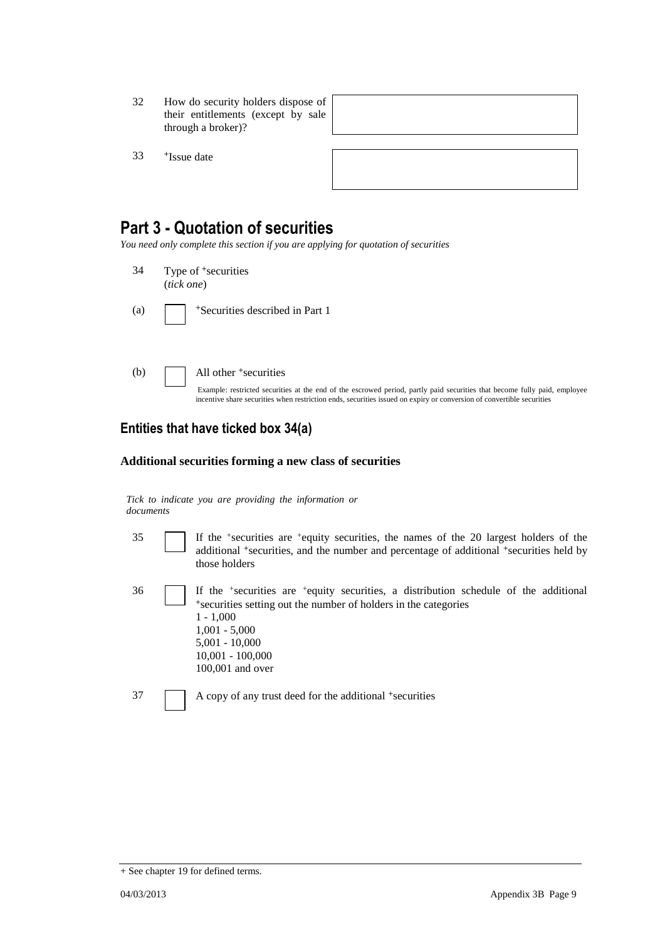- 32 How do security holders dispose of their entitlements (except by sale through a broker)?
- 33 <sup>+</sup>Issue date

| ,我们也不会有什么。""我们的人,我们也不会有什么?""我们的人,我们也不会有什么?""我们的人,我们也不会有什么?""我们的人,我们也不会有什么?""我们的人 |  |  |
|----------------------------------------------------------------------------------|--|--|
|                                                                                  |  |  |
|                                                                                  |  |  |

## **Part 3 - Quotation of securities**

*You need only complete this section if you are applying for quotation of securities*

- 34 Type of <sup>+</sup>securities (*tick one*)
- (a) <sup>+</sup>Securities described in Part 1
- (b)  $\Box$  All other  $\overline{\phantom{a}}$  securities

Example: restricted securities at the end of the escrowed period, partly paid securities that become fully paid, employee incentive share securities when restriction ends, securities issued on expiry or conversion of convertible securities

### **Entities that have ticked box 34(a)**

#### **Additional securities forming a new class of securities**

*Tick to indicate you are providing the information or documents*

100,001 and over

35 If the <sup>+</sup> securities are <sup>+</sup>equity securities, the names of the 20 largest holders of the additional <sup>+</sup>securities, and the number and percentage of additional <sup>+</sup>securities held by those holders

36 If the <sup>+</sup> securities are <sup>+</sup>equity securities, a distribution schedule of the additional <sup>+</sup>securities setting out the number of holders in the categories 1 - 1,000 1,001 - 5,000 5,001 - 10,000 10,001 - 100,000

37 A copy of any trust deed for the additional <sup>+</sup>securities

<sup>+</sup> See chapter 19 for defined terms.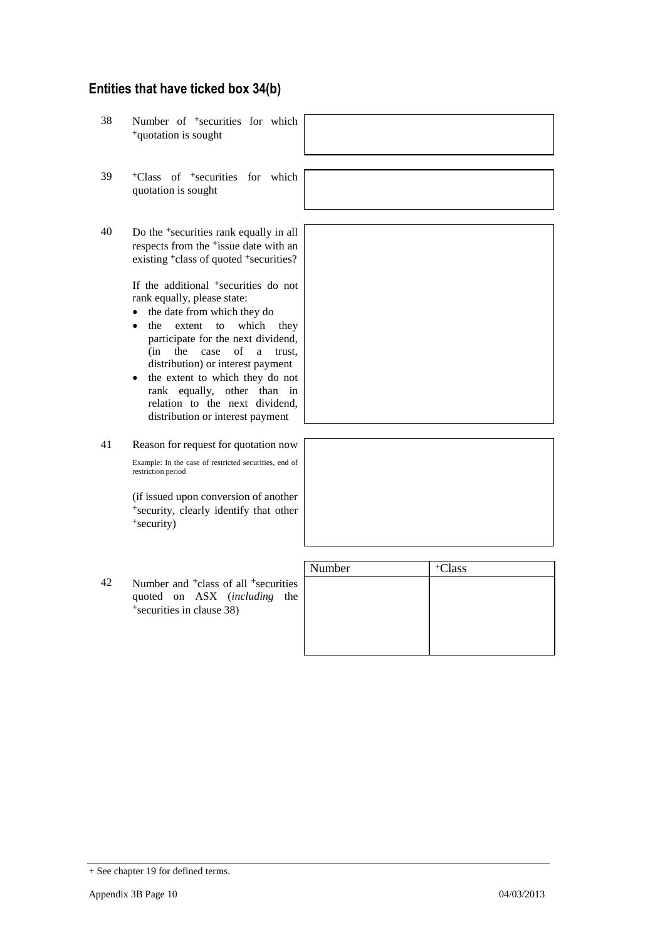## **Entities that have ticked box 34(b)**

- 38 Number of <sup>+</sup>securities for which <sup>+</sup>quotation is sought
- 39 <sup>+</sup>Class of <sup>+</sup>securities for which quotation is sought
- 40 Do the <sup>+</sup>securities rank equally in all respects from the <sup>+</sup>issue date with an existing <sup>+</sup>class of quoted <sup>+</sup>securities?

If the additional <sup>+</sup>securities do not rank equally, please state:

- the date from which they do
- the extent to which they participate for the next dividend, (in the case of a trust, distribution) or interest payment
- the extent to which they do not rank equally, other than in relation to the next dividend, distribution or interest payment

41 Reason for request for quotation now Example: In the case of restricted securities, end of

restriction period

(if issued upon conversion of another <sup>+</sup>security, clearly identify that other <sup>+</sup>security)

42 Number and <sup>+</sup>class of all <sup>+</sup>securities quoted on ASX (*including* the +securities in clause 38)

| Number | <sup>+</sup> Class |
|--------|--------------------|
|        |                    |
|        |                    |
|        |                    |
|        |                    |
|        |                    |

<sup>+</sup> See chapter 19 for defined terms.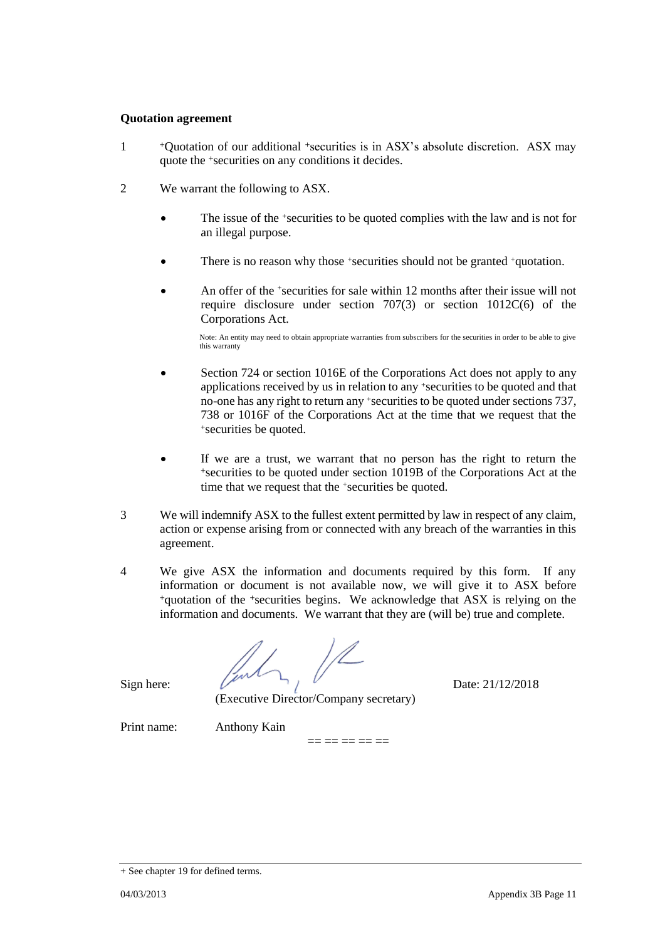#### **Quotation agreement**

- 1 <sup>+</sup>Quotation of our additional +securities is in ASX's absolute discretion. ASX may quote the +securities on any conditions it decides.
- 2 We warrant the following to ASX.
	- The issue of the +securities to be quoted complies with the law and is not for an illegal purpose.
	- There is no reason why those +securities should not be granted +quotation.
	- An offer of the <sup>+</sup>securities for sale within 12 months after their issue will not require disclosure under section 707(3) or section 1012C(6) of the Corporations Act.

Note: An entity may need to obtain appropriate warranties from subscribers for the securities in order to be able to give this warranty

- Section 724 or section 1016E of the Corporations Act does not apply to any applications received by us in relation to any +securities to be quoted and that no-one has any right to return any +securities to be quoted under sections 737, 738 or 1016F of the Corporations Act at the time that we request that the <sup>+</sup>securities be quoted.
- If we are a trust, we warrant that no person has the right to return the <sup>+</sup>securities to be quoted under section 1019B of the Corporations Act at the time that we request that the +securities be quoted.
- 3 We will indemnify ASX to the fullest extent permitted by law in respect of any claim, action or expense arising from or connected with any breach of the warranties in this agreement.
- 4 We give ASX the information and documents required by this form. If any information or document is not available now, we will give it to ASX before <sup>+</sup>quotation of the +securities begins. We acknowledge that ASX is relying on the information and documents. We warrant that they are (will be) true and complete.

 $=$   $=$   $=$   $=$   $=$   $=$ 

Sign here:  $\int_{\mathcal{P}}$   $\int_{\mathcal{P}}$  Date: 21/12/2018

(Executive Director/Company secretary)

Print name: Anthony Kain

<sup>+</sup> See chapter 19 for defined terms.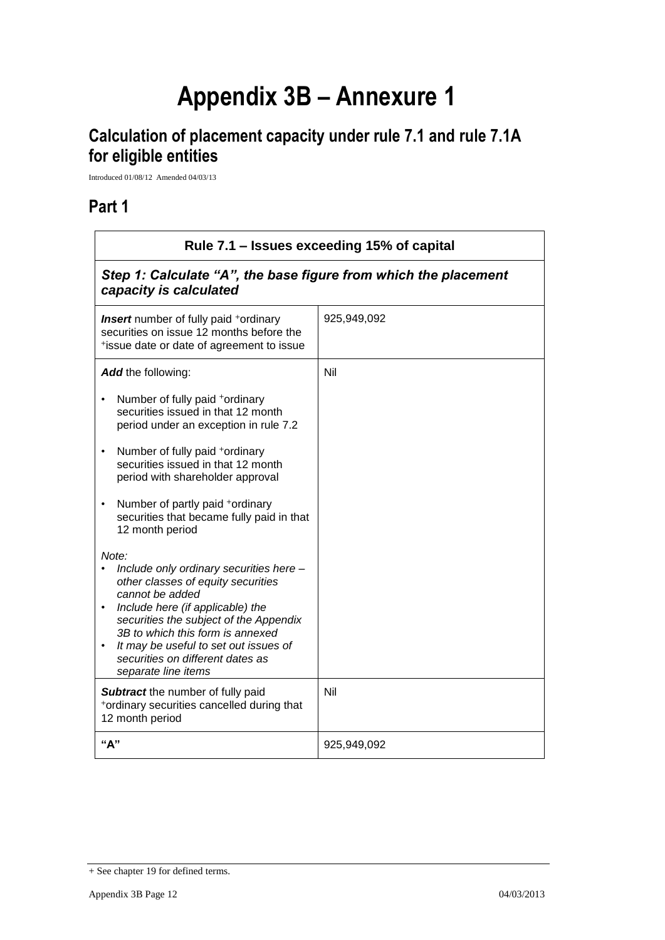# **Appendix 3B – Annexure 1**

## **Calculation of placement capacity under rule 7.1 and rule 7.1A for eligible entities**

Introduced 01/08/12 Amended 04/03/13

## **Part 1**

| Rule 7.1 - Issues exceeding 15% of capital                                                                                                                                                                                                                                                                                                                                                                                                                                                                                                                                                                                                                                                                                                                                                                      |             |  |
|-----------------------------------------------------------------------------------------------------------------------------------------------------------------------------------------------------------------------------------------------------------------------------------------------------------------------------------------------------------------------------------------------------------------------------------------------------------------------------------------------------------------------------------------------------------------------------------------------------------------------------------------------------------------------------------------------------------------------------------------------------------------------------------------------------------------|-------------|--|
| Step 1: Calculate "A", the base figure from which the placement<br>capacity is calculated                                                                                                                                                                                                                                                                                                                                                                                                                                                                                                                                                                                                                                                                                                                       |             |  |
| <b>Insert</b> number of fully paid <sup>+</sup> ordinary<br>securities on issue 12 months before the<br>*issue date or date of agreement to issue                                                                                                                                                                                                                                                                                                                                                                                                                                                                                                                                                                                                                                                               | 925,949,092 |  |
| Add the following:<br>Number of fully paid +ordinary<br>securities issued in that 12 month<br>period under an exception in rule 7.2<br>Number of fully paid +ordinary<br>$\bullet$<br>securities issued in that 12 month<br>period with shareholder approval<br>Number of partly paid +ordinary<br>$\bullet$<br>securities that became fully paid in that<br>12 month period<br>Note:<br>Include only ordinary securities here -<br>other classes of equity securities<br>cannot be added<br>Include here (if applicable) the<br>$\bullet$<br>securities the subject of the Appendix<br>3B to which this form is annexed<br>It may be useful to set out issues of<br>securities on different dates as<br>separate line items<br>Subtract the number of fully paid<br>*ordinary securities cancelled during that | Nil<br>Nil  |  |
| 12 month period<br>"А"                                                                                                                                                                                                                                                                                                                                                                                                                                                                                                                                                                                                                                                                                                                                                                                          | 925,949,092 |  |

<sup>+</sup> See chapter 19 for defined terms.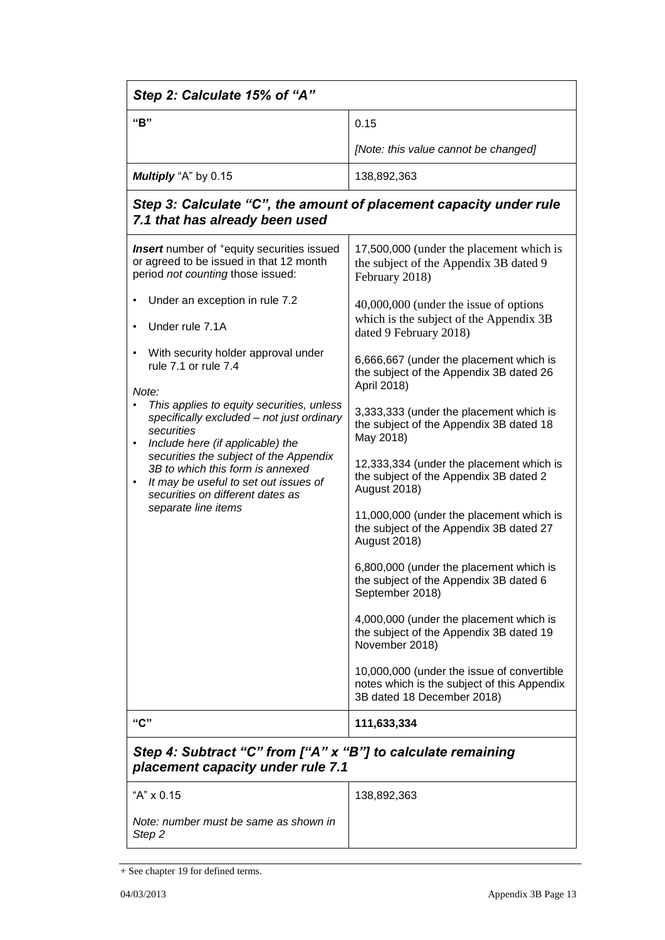| Step 2: Calculate 15% of "A"                                                                                                                                                                                                                                                                                                                         |                                                                                                                         |  |
|------------------------------------------------------------------------------------------------------------------------------------------------------------------------------------------------------------------------------------------------------------------------------------------------------------------------------------------------------|-------------------------------------------------------------------------------------------------------------------------|--|
| "B"                                                                                                                                                                                                                                                                                                                                                  | 0.15                                                                                                                    |  |
|                                                                                                                                                                                                                                                                                                                                                      | [Note: this value cannot be changed]                                                                                    |  |
| Multiply "A" by 0.15                                                                                                                                                                                                                                                                                                                                 | 138,892,363                                                                                                             |  |
| Step 3: Calculate "C", the amount of placement capacity under rule<br>7.1 that has already been used                                                                                                                                                                                                                                                 |                                                                                                                         |  |
| <b>Insert</b> number of <sup>+</sup> equity securities issued<br>or agreed to be issued in that 12 month<br>period not counting those issued:                                                                                                                                                                                                        | 17,500,000 (under the placement which is<br>the subject of the Appendix 3B dated 9<br>February 2018)                    |  |
| Under an exception in rule 7.2<br>Under rule 7.1A                                                                                                                                                                                                                                                                                                    | 40,000,000 (under the issue of options<br>which is the subject of the Appendix 3B<br>dated 9 February 2018)             |  |
| With security holder approval under<br>rule 7.1 or rule 7.4<br>Note:                                                                                                                                                                                                                                                                                 | 6,666,667 (under the placement which is<br>the subject of the Appendix 3B dated 26<br>April 2018)                       |  |
| This applies to equity securities, unless<br>specifically excluded - not just ordinary<br>securities<br>Include here (if applicable) the<br>$\bullet$<br>securities the subject of the Appendix<br>3B to which this form is annexed<br>It may be useful to set out issues of<br>$\bullet$<br>securities on different dates as<br>separate line items | 3,333,333 (under the placement which is<br>the subject of the Appendix 3B dated 18<br>May 2018)                         |  |
|                                                                                                                                                                                                                                                                                                                                                      | 12,333,334 (under the placement which is<br>the subject of the Appendix 3B dated 2<br>August 2018)                      |  |
|                                                                                                                                                                                                                                                                                                                                                      | 11,000,000 (under the placement which is<br>the subject of the Appendix 3B dated 27<br>August 2018)                     |  |
|                                                                                                                                                                                                                                                                                                                                                      | 6,800,000 (under the placement which is<br>the subject of the Appendix 3B dated 6<br>September 2018)                    |  |
|                                                                                                                                                                                                                                                                                                                                                      | 4,000,000 (under the placement which is<br>the subject of the Appendix 3B dated 19<br>November 2018)                    |  |
|                                                                                                                                                                                                                                                                                                                                                      | 10,000,000 (under the issue of convertible<br>notes which is the subject of this Appendix<br>3B dated 18 December 2018) |  |
| "C"                                                                                                                                                                                                                                                                                                                                                  | 111,633,334                                                                                                             |  |
| Step 4: Subtract "C" from ["A" x "B"] to calculate remaining<br>placement capacity under rule 7.1                                                                                                                                                                                                                                                    |                                                                                                                         |  |
| "A" x 0.15                                                                                                                                                                                                                                                                                                                                           | 138,892,363                                                                                                             |  |
| Note: number must be same as shown in<br>Step 2                                                                                                                                                                                                                                                                                                      |                                                                                                                         |  |

 $\pm$  See chapter 19 for defined terms.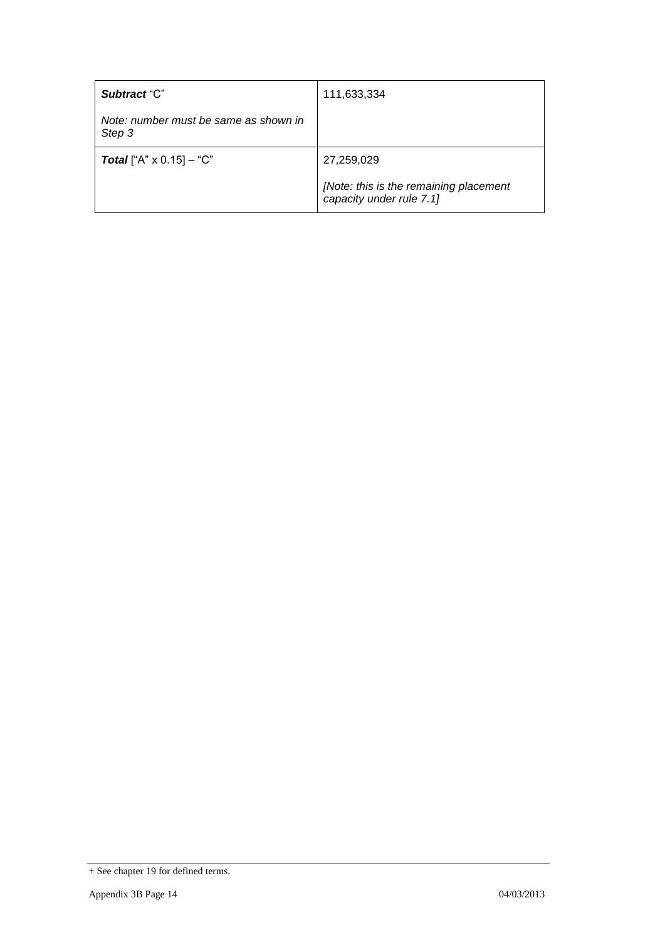| Subtract "C"                                    | 111,633,334                                                        |
|-------------------------------------------------|--------------------------------------------------------------------|
| Note: number must be same as shown in<br>Step 3 |                                                                    |
| <b>Total</b> ["A" $\times$ 0.15] – "C"          | 27,259,029                                                         |
|                                                 | [Note: this is the remaining placement<br>capacity under rule 7.1] |

 $\pm$  See chapter 19 for defined terms.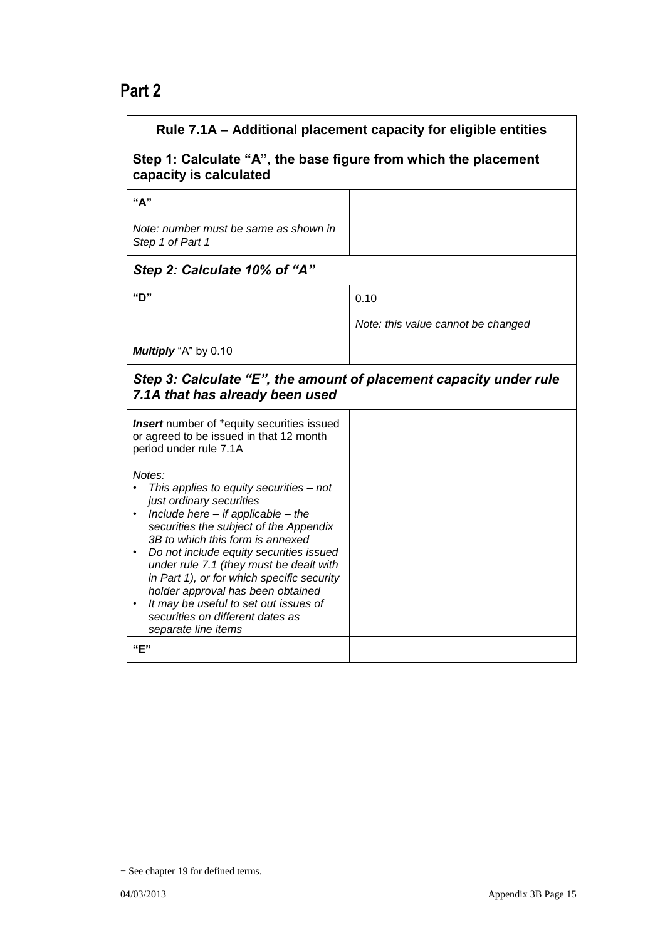## **Part 2**

| Rule 7.1A - Additional placement capacity for eligible entities                                                                                                                                                                                                                                                                                                                                                                                                                                |                                    |  |
|------------------------------------------------------------------------------------------------------------------------------------------------------------------------------------------------------------------------------------------------------------------------------------------------------------------------------------------------------------------------------------------------------------------------------------------------------------------------------------------------|------------------------------------|--|
| Step 1: Calculate "A", the base figure from which the placement<br>capacity is calculated                                                                                                                                                                                                                                                                                                                                                                                                      |                                    |  |
| "A"                                                                                                                                                                                                                                                                                                                                                                                                                                                                                            |                                    |  |
| Note: number must be same as shown in<br>Step 1 of Part 1                                                                                                                                                                                                                                                                                                                                                                                                                                      |                                    |  |
| Step 2: Calculate 10% of "A"                                                                                                                                                                                                                                                                                                                                                                                                                                                                   |                                    |  |
| "ט"                                                                                                                                                                                                                                                                                                                                                                                                                                                                                            | 0.10                               |  |
|                                                                                                                                                                                                                                                                                                                                                                                                                                                                                                | Note: this value cannot be changed |  |
| Multiply "A" by 0.10                                                                                                                                                                                                                                                                                                                                                                                                                                                                           |                                    |  |
| Step 3: Calculate "E", the amount of placement capacity under rule<br>7.1A that has already been used                                                                                                                                                                                                                                                                                                                                                                                          |                                    |  |
| <b>Insert</b> number of <sup>+</sup> equity securities issued<br>or agreed to be issued in that 12 month<br>period under rule 7.1A                                                                                                                                                                                                                                                                                                                                                             |                                    |  |
| Notes:<br>This applies to equity securities - not<br>just ordinary securities<br>Include here $-$ if applicable $-$ the<br>securities the subject of the Appendix<br>3B to which this form is annexed<br>Do not include equity securities issued<br>٠<br>under rule 7.1 (they must be dealt with<br>in Part 1), or for which specific security<br>holder approval has been obtained<br>It may be useful to set out issues of<br>securities on different dates as<br>separate line items<br>"E" |                                    |  |
|                                                                                                                                                                                                                                                                                                                                                                                                                                                                                                |                                    |  |

<sup>+</sup> See chapter 19 for defined terms.